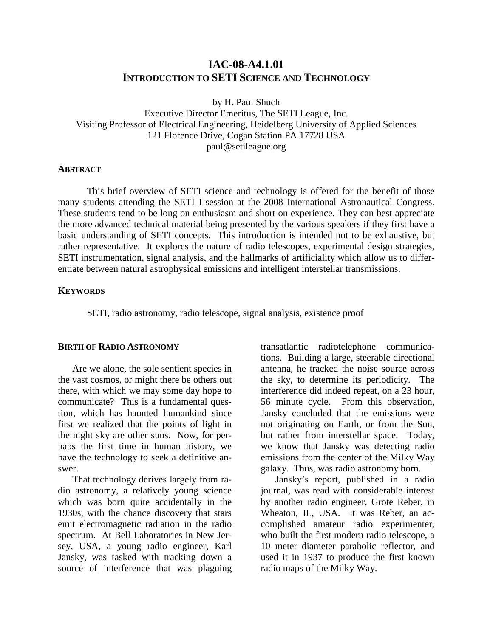# **IAC-08-A4.1.01 INTRODUCTION TO SETI SCIENCE AND TECHNOLOGY**

by H. Paul Shuch

Executive Director Emeritus, The SETI League, Inc. Visiting Professor of Electrical Engineering, Heidelberg University of Applied Sciences 121 Florence Drive, Cogan Station PA 17728 USA paul@setileague.org

#### **ABSTRACT**

 This brief overview of SETI science and technology is offered for the benefit of those many students attending the SETI I session at the 2008 International Astronautical Congress. These students tend to be long on enthusiasm and short on experience. They can best appreciate the more advanced technical material being presented by the various speakers if they first have a basic understanding of SETI concepts. This introduction is intended not to be exhaustive, but rather representative. It explores the nature of radio telescopes, experimental design strategies, SETI instrumentation, signal analysis, and the hallmarks of artificiality which allow us to differentiate between natural astrophysical emissions and intelligent interstellar transmissions.

#### **KEYWORDS**

SETI, radio astronomy, radio telescope, signal analysis, existence proof

#### **BIRTH OF RADIO ASTRONOMY**

Are we alone, the sole sentient species in the vast cosmos, or might there be others out there, with which we may some day hope to communicate? This is a fundamental question, which has haunted humankind since first we realized that the points of light in the night sky are other suns. Now, for perhaps the first time in human history, we have the technology to seek a definitive answer.

That technology derives largely from radio astronomy, a relatively young science which was born quite accidentally in the 1930s, with the chance discovery that stars emit electromagnetic radiation in the radio spectrum. At Bell Laboratories in New Jersey, USA, a young radio engineer, Karl Jansky, was tasked with tracking down a source of interference that was plaguing transatlantic radiotelephone communications. Building a large, steerable directional antenna, he tracked the noise source across the sky, to determine its periodicity. The interference did indeed repeat, on a 23 hour, 56 minute cycle. From this observation, Jansky concluded that the emissions were not originating on Earth, or from the Sun, but rather from interstellar space. Today, we know that Jansky was detecting radio emissions from the center of the Milky Way galaxy. Thus, was radio astronomy born.

Jansky's report, published in a radio journal, was read with considerable interest by another radio engineer, Grote Reber, in Wheaton, IL, USA. It was Reber, an accomplished amateur radio experimenter, who built the first modern radio telescope, a 10 meter diameter parabolic reflector, and used it in 1937 to produce the first known radio maps of the Milky Way.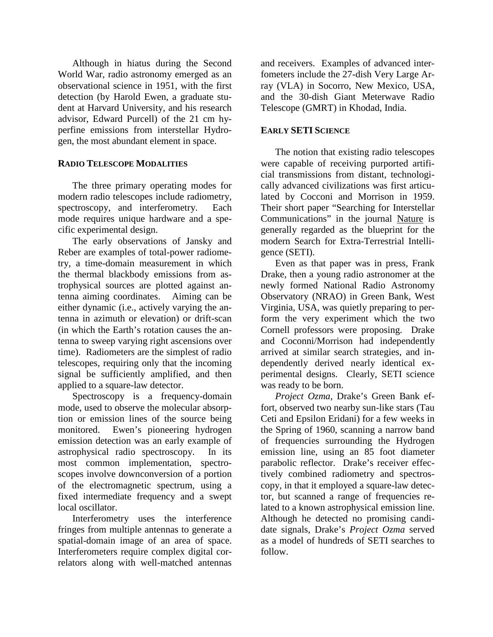Although in hiatus during the Second World War, radio astronomy emerged as an observational science in 1951, with the first detection (by Harold Ewen, a graduate student at Harvard University, and his research advisor, Edward Purcell) of the 21 cm hyperfine emissions from interstellar Hydrogen, the most abundant element in space.

## **RADIO TELESCOPE MODALITIES**

The three primary operating modes for modern radio telescopes include radiometry, spectroscopy, and interferometry. Each mode requires unique hardware and a specific experimental design.

The early observations of Jansky and Reber are examples of total-power radiometry, a time-domain measurement in which the thermal blackbody emissions from astrophysical sources are plotted against antenna aiming coordinates. Aiming can be either dynamic (i.e., actively varying the antenna in azimuth or elevation) or drift-scan (in which the Earth's rotation causes the antenna to sweep varying right ascensions over time). Radiometers are the simplest of radio telescopes, requiring only that the incoming signal be sufficiently amplified, and then applied to a square-law detector.

Spectroscopy is a frequency-domain mode, used to observe the molecular absorption or emission lines of the source being monitored. Ewen's pioneering hydrogen emission detection was an early example of astrophysical radio spectroscopy. In its most common implementation, spectroscopes involve downconversion of a portion of the electromagnetic spectrum, using a fixed intermediate frequency and a swept local oscillator.

Interferometry uses the interference fringes from multiple antennas to generate a spatial-domain image of an area of space. Interferometers require complex digital correlators along with well-matched antennas

and receivers. Examples of advanced interfometers include the 27-dish Very Large Array (VLA) in Socorro, New Mexico, USA, and the 30-dish Giant Meterwave Radio Telescope (GMRT) in Khodad, India.

## **EARLY SETI SCIENCE**

The notion that existing radio telescopes were capable of receiving purported artificial transmissions from distant, technologically advanced civilizations was first articulated by Cocconi and Morrison in 1959. Their short paper "Searching for Interstellar Communications" in the journal Nature is generally regarded as the blueprint for the modern Search for Extra-Terrestrial Intelligence (SETI).

Even as that paper was in press, Frank Drake, then a young radio astronomer at the newly formed National Radio Astronomy Observatory (NRAO) in Green Bank, West Virginia, USA, was quietly preparing to perform the very experiment which the two Cornell professors were proposing. Drake and Coconni/Morrison had independently arrived at similar search strategies, and independently derived nearly identical experimental designs. Clearly, SETI science was ready to be born.

*Project Ozma*, Drake's Green Bank effort, observed two nearby sun-like stars (Tau Ceti and Epsilon Eridani) for a few weeks in the Spring of 1960, scanning a narrow band of frequencies surrounding the Hydrogen emission line, using an 85 foot diameter parabolic reflector. Drake's receiver effectively combined radiometry and spectroscopy, in that it employed a square-law detector, but scanned a range of frequencies related to a known astrophysical emission line. Although he detected no promising candidate signals, Drake's *Project Ozma* served as a model of hundreds of SETI searches to follow.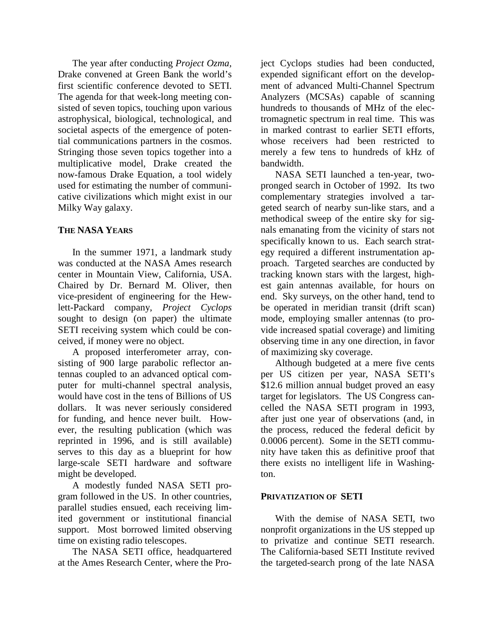The year after conducting *Project Ozma,*  Drake convened at Green Bank the world's first scientific conference devoted to SETI. The agenda for that week-long meeting consisted of seven topics, touching upon various astrophysical, biological, technological, and societal aspects of the emergence of potential communications partners in the cosmos. Stringing those seven topics together into a multiplicative model, Drake created the now-famous Drake Equation, a tool widely used for estimating the number of communicative civilizations which might exist in our Milky Way galaxy.

## **THE NASA YEARS**

In the summer 1971, a landmark study was conducted at the NASA Ames research center in Mountain View, California, USA. Chaired by Dr. Bernard M. Oliver, then vice-president of engineering for the Hewlett-Packard company, *Project Cyclops* sought to design (on paper) the ultimate SETI receiving system which could be conceived, if money were no object.

A proposed interferometer array, consisting of 900 large parabolic reflector antennas coupled to an advanced optical computer for multi-channel spectral analysis, would have cost in the tens of Billions of US dollars. It was never seriously considered for funding, and hence never built. However, the resulting publication (which was reprinted in 1996, and is still available) serves to this day as a blueprint for how large-scale SETI hardware and software might be developed.

A modestly funded NASA SETI program followed in the US. In other countries, parallel studies ensued, each receiving limited government or institutional financial support. Most borrowed limited observing time on existing radio telescopes.

The NASA SETI office, headquartered at the Ames Research Center, where the Project Cyclops studies had been conducted, expended significant effort on the development of advanced Multi-Channel Spectrum Analyzers (MCSAs) capable of scanning hundreds to thousands of MHz of the electromagnetic spectrum in real time. This was in marked contrast to earlier SETI efforts, whose receivers had been restricted to merely a few tens to hundreds of kHz of bandwidth.

NASA SETI launched a ten-year, twopronged search in October of 1992. Its two complementary strategies involved a targeted search of nearby sun-like stars, and a methodical sweep of the entire sky for signals emanating from the vicinity of stars not specifically known to us. Each search strategy required a different instrumentation approach. Targeted searches are conducted by tracking known stars with the largest, highest gain antennas available, for hours on end. Sky surveys, on the other hand, tend to be operated in meridian transit (drift scan) mode, employing smaller antennas (to provide increased spatial coverage) and limiting observing time in any one direction, in favor of maximizing sky coverage.

Although budgeted at a mere five cents per US citizen per year, NASA SETI's \$12.6 million annual budget proved an easy target for legislators. The US Congress cancelled the NASA SETI program in 1993, after just one year of observations (and, in the process, reduced the federal deficit by 0.0006 percent). Some in the SETI community have taken this as definitive proof that there exists no intelligent life in Washington.

## **PRIVATIZATION OF SETI**

With the demise of NASA SETI, two nonprofit organizations in the US stepped up to privatize and continue SETI research. The California-based SETI Institute revived the targeted-search prong of the late NASA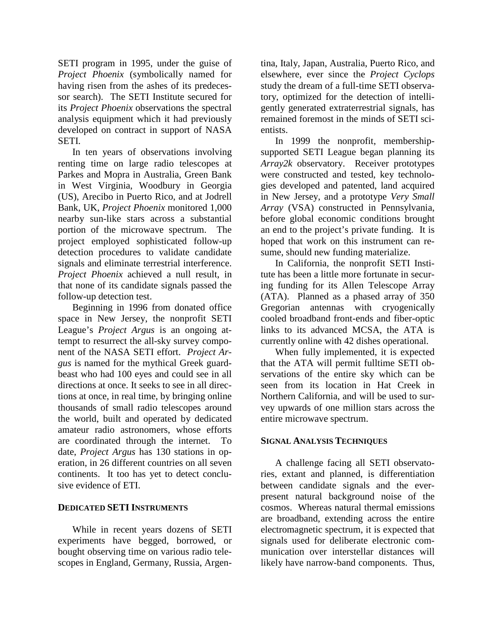SETI program in 1995, under the guise of *Project Phoenix* (symbolically named for having risen from the ashes of its predecessor search). The SETI Institute secured for its *Project Phoenix* observations the spectral analysis equipment which it had previously developed on contract in support of NASA SETI.

In ten years of observations involving renting time on large radio telescopes at Parkes and Mopra in Australia, Green Bank in West Virginia, Woodbury in Georgia (US), Arecibo in Puerto Rico, and at Jodrell Bank, UK, *Project Phoenix* monitored 1,000 nearby sun-like stars across a substantial portion of the microwave spectrum. The project employed sophisticated follow-up detection procedures to validate candidate signals and eliminate terrestrial interference. *Project Phoenix* achieved a null result, in that none of its candidate signals passed the follow-up detection test.

Beginning in 1996 from donated office space in New Jersey, the nonprofit SETI League's *Project Argus* is an ongoing attempt to resurrect the all-sky survey component of the NASA SETI effort. *Project Argus* is named for the mythical Greek guardbeast who had 100 eyes and could see in all directions at once. It seeks to see in all directions at once, in real time, by bringing online thousands of small radio telescopes around the world, built and operated by dedicated amateur radio astronomers, whose efforts are coordinated through the internet. To date, *Project Argus* has 130 stations in operation, in 26 different countries on all seven continents. It too has yet to detect conclusive evidence of ETI.

#### **DEDICATED SETI INSTRUMENTS**

While in recent years dozens of SETI experiments have begged, borrowed, or bought observing time on various radio telescopes in England, Germany, Russia, Argen-

tina, Italy, Japan, Australia, Puerto Rico, and elsewhere, ever since the *Project Cyclops* study the dream of a full-time SETI observatory, optimized for the detection of intelligently generated extraterrestrial signals, has remained foremost in the minds of SETI scientists.

In 1999 the nonprofit, membershipsupported SETI League began planning its *Array2k* observatory. Receiver prototypes were constructed and tested, key technologies developed and patented, land acquired in New Jersey, and a prototype *Very Small Array* (VSA) constructed in Pennsylvania, before global economic conditions brought an end to the project's private funding. It is hoped that work on this instrument can resume, should new funding materialize.

In California, the nonprofit SETI Institute has been a little more fortunate in securing funding for its Allen Telescope Array (ATA). Planned as a phased array of 350 Gregorian antennas with cryogenically cooled broadband front-ends and fiber-optic links to its advanced MCSA, the ATA is currently online with 42 dishes operational.

When fully implemented, it is expected that the ATA will permit fulltime SETI observations of the entire sky which can be seen from its location in Hat Creek in Northern California, and will be used to survey upwards of one million stars across the entire microwave spectrum.

## **SIGNAL ANALYSIS TECHNIQUES**

A challenge facing all SETI observatories, extant and planned, is differentiation between candidate signals and the everpresent natural background noise of the cosmos. Whereas natural thermal emissions are broadband, extending across the entire electromagnetic spectrum, it is expected that signals used for deliberate electronic communication over interstellar distances will likely have narrow-band components. Thus,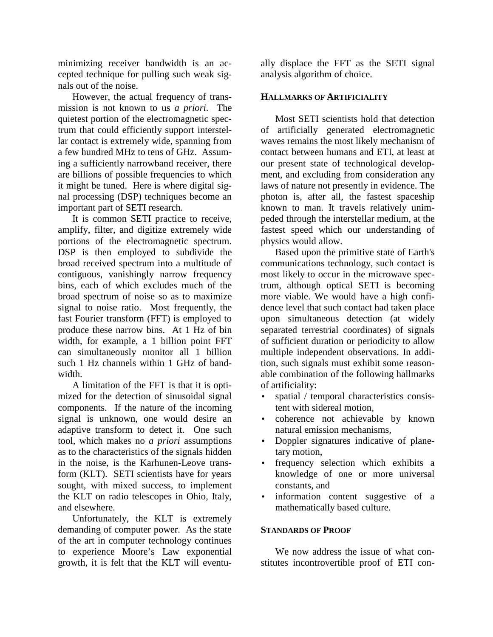minimizing receiver bandwidth is an accepted technique for pulling such weak signals out of the noise.

However, the actual frequency of transmission is not known to us *a priori*. The quietest portion of the electromagnetic spectrum that could efficiently support interstellar contact is extremely wide, spanning from a few hundred MHz to tens of GHz. Assuming a sufficiently narrowband receiver, there are billions of possible frequencies to which it might be tuned. Here is where digital signal processing (DSP) techniques become an important part of SETI research.

It is common SETI practice to receive, amplify, filter, and digitize extremely wide portions of the electromagnetic spectrum. DSP is then employed to subdivide the broad received spectrum into a multitude of contiguous, vanishingly narrow frequency bins, each of which excludes much of the broad spectrum of noise so as to maximize signal to noise ratio. Most frequently, the fast Fourier transform (FFT) is employed to produce these narrow bins. At 1 Hz of bin width, for example, a 1 billion point FFT can simultaneously monitor all 1 billion such 1 Hz channels within 1 GHz of bandwidth.

A limitation of the FFT is that it is optimized for the detection of sinusoidal signal components. If the nature of the incoming signal is unknown, one would desire an adaptive transform to detect it. One such tool, which makes no *a priori* assumptions as to the characteristics of the signals hidden in the noise, is the Karhunen-Leove transform (KLT). SETI scientists have for years sought, with mixed success, to implement the KLT on radio telescopes in Ohio, Italy, and elsewhere.

Unfortunately, the KLT is extremely demanding of computer power. As the state of the art in computer technology continues to experience Moore's Law exponential growth, it is felt that the KLT will eventually displace the FFT as the SETI signal analysis algorithm of choice.

#### **HALLMARKS OF ARTIFICIALITY**

Most SETI scientists hold that detection of artificially generated electromagnetic waves remains the most likely mechanism of contact between humans and ETI, at least at our present state of technological development, and excluding from consideration any laws of nature not presently in evidence. The photon is, after all, the fastest spaceship known to man. It travels relatively unimpeded through the interstellar medium, at the fastest speed which our understanding of physics would allow.

Based upon the primitive state of Earth's communications technology, such contact is most likely to occur in the microwave spectrum, although optical SETI is becoming more viable. We would have a high confidence level that such contact had taken place upon simultaneous detection (at widely separated terrestrial coordinates) of signals of sufficient duration or periodicity to allow multiple independent observations. In addition, such signals must exhibit some reasonable combination of the following hallmarks of artificiality:

- spatial / temporal characteristics consistent with sidereal motion,
- coherence not achievable by known natural emission mechanisms,
- Doppler signatures indicative of planetary motion,
- frequency selection which exhibits a knowledge of one or more universal constants, and
- information content suggestive of a mathematically based culture.

#### **STANDARDS OF PROOF**

We now address the issue of what constitutes incontrovertible proof of ETI con-